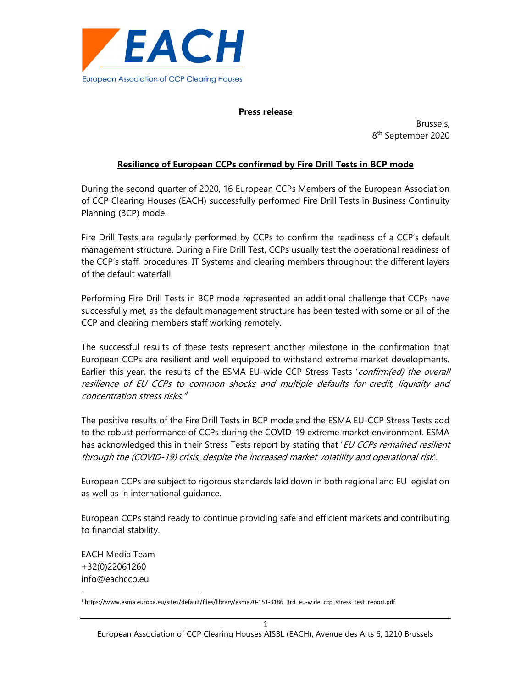

## Press release

example, the contract of the contract of the contract of the Brussels, and the contract of the contract of the 8<sup>th</sup> September 2020

## Resilience of European CCPs confirmed by Fire Drill Tests in BCP mode

During the second quarter of 2020, 16 European CCPs Members of the European Association of CCP Clearing Houses (EACH) successfully performed Fire Drill Tests in Business Continuity Planning (BCP) mode.

Fire Drill Tests are regularly performed by CCPs to confirm the readiness of a CCP's default management structure. During a Fire Drill Test, CCPs usually test the operational readiness of the CCP's staff, procedures, IT Systems and clearing members throughout the different layers of the default waterfall.

Performing Fire Drill Tests in BCP mode represented an additional challenge that CCPs have successfully met, as the default management structure has been tested with some or all of the CCP and clearing members staff working remotely.

The successful results of these tests represent another milestone in the confirmation that European CCPs are resilient and well equipped to withstand extreme market developments. Earlier this year, the results of the ESMA EU-wide CCP Stress Tests 'confirm(ed) the overall resilience of EU CCPs to common shocks and multiple defaults for credit, liquidity and concentration stress risks.' 1

The positive results of the Fire Drill Tests in BCP mode and the ESMA EU-CCP Stress Tests add to the robust performance of CCPs during the COVID-19 extreme market environment. ESMA has acknowledged this in their Stress Tests report by stating that 'EU CCPs remained resilient through the (COVID-19) crisis, despite the increased market volatility and operational risk'.

European CCPs are subject to rigorous standards laid down in both regional and EU legislation as well as in international guidance.

European CCPs stand ready to continue providing safe and efficient markets and contributing to financial stability.

EACH Media Team +32(0)22061260 info@eachccp.eu

<sup>1</sup> https://www.esma.europa.eu/sites/default/files/library/esma70-151-3186\_3rd\_eu-wide\_ccp\_stress\_test\_report.pdf